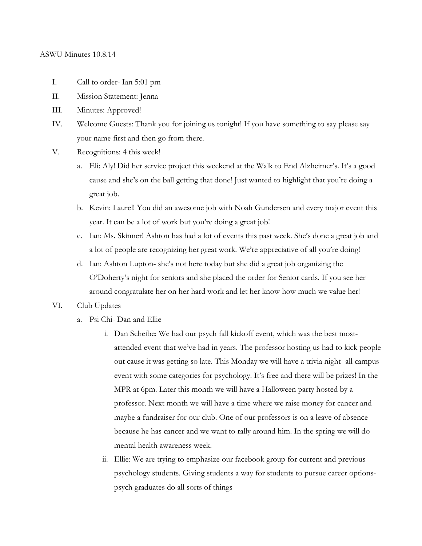### ASWU Minutes 10.8.14

- I. Call to order- Ian 5:01 pm
- II. Mission Statement: Jenna
- III. Minutes: Approved!
- IV. Welcome Guests: Thank you for joining us tonight! If you have something to say please say your name first and then go from there.
- V. Recognitions: 4 this week!
	- a. Eli: Aly! Did her service project this weekend at the Walk to End Alzheimer's. It's a good cause and she's on the ball getting that done! Just wanted to highlight that you're doing a great job.
	- b. Kevin: Laurel! You did an awesome job with Noah Gundersen and every major event this year. It can be a lot of work but you're doing a great job!
	- c. Ian: Ms. Skinner! Ashton has had a lot of events this past week. She's done a great job and a lot of people are recognizing her great work. We're appreciative of all you're doing!
	- d. Ian: Ashton Lupton- she's not here today but she did a great job organizing the O'Doherty's night for seniors and she placed the order for Senior cards. If you see her around congratulate her on her hard work and let her know how much we value her!
- VI. Club Updates
	- a. Psi Chi- Dan and Ellie
		- i. Dan Scheibe: We had our psych fall kickoff event, which was the best mostattended event that we've had in years. The professor hosting us had to kick people out cause it was getting so late. This Monday we will have a trivia night- all campus event with some categories for psychology. It's free and there will be prizes! In the MPR at 6pm. Later this month we will have a Halloween party hosted by a professor. Next month we will have a time where we raise money for cancer and maybe a fundraiser for our club. One of our professors is on a leave of absence because he has cancer and we want to rally around him. In the spring we will do mental health awareness week.
		- ii. Ellie: We are trying to emphasize our facebook group for current and previous psychology students. Giving students a way for students to pursue career optionspsych graduates do all sorts of things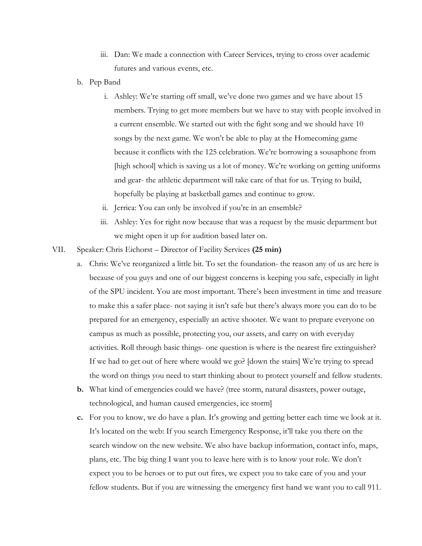- iii. Dan: We made a connection with Career Services, trying to cross over academic futures and various events, etc.
- b. Pep Band
	- i. Ashley: We're starting off small, we've done two games and we have about 15 members. Trying to get more members but we have to stay with people involved in a current ensemble. We started out with the fight song and we should have 10 songs by the next game. We won't be able to play at the Homecoming game because it conflicts with the 125 celebration. We're borrowing a sousaphone from [high school] which is saving us a lot of money. We're working on getting uniforms and gear- the athletic department will take care of that for us. Trying to build, hopefully be playing at basketball games and continue to grow.
	- ii. Jerrica: You can only be involved if you're in an ensemble?
	- iii. Ashley: Yes for right now because that was a request by the music department but we might open it up for audition based later on.
- VII. Speaker: Chris Eichorst Director of Facility Services **(25 min)**
	- a. Chris: We've reorganized a little bit. To set the foundation- the reason any of us are here is because of you guys and one of our biggest concerns is keeping you safe, especially in light of the SPU incident. You are most important. There's been investment in time and treasure to make this a safer place- not saying it isn't safe but there's always more you can do to be prepared for an emergency, especially an active shooter. We want to prepare everyone on campus as much as possible, protecting you, our assets, and carry on with everyday activities. Roll through basic things- one question is where is the nearest fire extinguisher? If we had to get out of here where would we go? [down the stairs] We're trying to spread the word on things you need to start thinking about to protect yourself and fellow students.
	- **b.** What kind of emergencies could we have? (tree storm, natural disasters, power outage, technological, and human caused emergencies, ice storm]
	- **c.** For you to know, we do have a plan. It's growing and getting better each time we look at it. It's located on the web: If you search Emergency Response, it'll take you there on the search window on the new website. We also have backup information, contact info, maps, plans, etc. The big thing I want you to leave here with is to know your role. We don't expect you to be heroes or to put out fires, we expect you to take care of you and your fellow students. But if you are witnessing the emergency first hand we want you to call 911.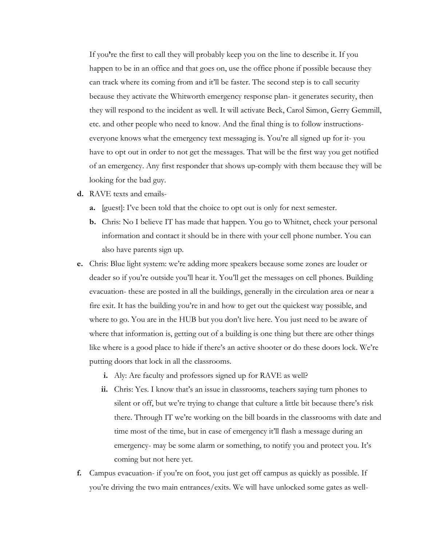If you**'**re the first to call they will probably keep you on the line to describe it. If you happen to be in an office and that goes on, use the office phone if possible because they can track where its coming from and it'll be faster. The second step is to call security because they activate the Whitworth emergency response plan- it generates security, then they will respond to the incident as well. It will activate Beck, Carol Simon, Gerry Gemmill, etc. and other people who need to know. And the final thing is to follow instructionseveryone knows what the emergency text messaging is. You're all signed up for it- you have to opt out in order to not get the messages. That will be the first way you get notified of an emergency. Any first responder that shows up-comply with them because they will be looking for the bad guy.

- **d.** RAVE texts and emails
	- **a.** [guest]: I've been told that the choice to opt out is only for next semester.
	- **b.** Chris: No I believe IT has made that happen. You go to Whitnet, check your personal information and contact it should be in there with your cell phone number. You can also have parents sign up.
- **e.** Chris: Blue light system: we're adding more speakers because some zones are louder or deader so if you're outside you'll hear it. You'll get the messages on cell phones. Building evacuation- these are posted in all the buildings, generally in the circulation area or near a fire exit. It has the building you're in and how to get out the quickest way possible, and where to go. You are in the HUB but you don't live here. You just need to be aware of where that information is, getting out of a building is one thing but there are other things like where is a good place to hide if there's an active shooter or do these doors lock. We're putting doors that lock in all the classrooms.
	- **i.** Aly: Are faculty and professors signed up for RAVE as well?
	- **ii.** Chris: Yes. I know that's an issue in classrooms, teachers saying turn phones to silent or off, but we're trying to change that culture a little bit because there's risk there. Through IT we're working on the bill boards in the classrooms with date and time most of the time, but in case of emergency it'll flash a message during an emergency- may be some alarm or something, to notify you and protect you. It's coming but not here yet.
- **f.** Campus evacuation- if you're on foot, you just get off campus as quickly as possible. If you're driving the two main entrances/exits. We will have unlocked some gates as well-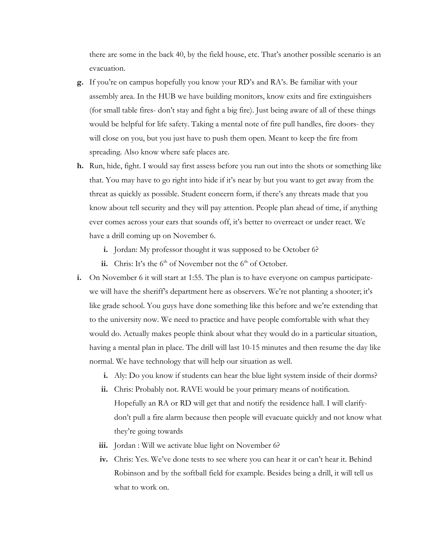there are some in the back 40, by the field house, etc. That's another possible scenario is an evacuation.

- **g.** If you're on campus hopefully you know your RD's and RA's. Be familiar with your assembly area. In the HUB we have building monitors, know exits and fire extinguishers (for small table fires- don't stay and fight a big fire). Just being aware of all of these things would be helpful for life safety. Taking a mental note of fire pull handles, fire doors- they will close on you, but you just have to push them open. Meant to keep the fire from spreading. Also know where safe places are.
- **h.** Run, hide, fight. I would say first assess before you run out into the shots or something like that. You may have to go right into hide if it's near by but you want to get away from the threat as quickly as possible. Student concern form, if there's any threats made that you know about tell security and they will pay attention. People plan ahead of time, if anything ever comes across your ears that sounds off, it's better to overreact or under react. We have a drill coming up on November 6.
	- **i.** Jordan: My professor thought it was supposed to be October 6?
	- ii. Chris: It's the  $6<sup>th</sup>$  of November not the  $6<sup>th</sup>$  of October.
- **i.** On November 6 it will start at 1:55. The plan is to have everyone on campus participatewe will have the sheriff's department here as observers. We're not planting a shooter; it's like grade school. You guys have done something like this before and we're extending that to the university now. We need to practice and have people comfortable with what they would do. Actually makes people think about what they would do in a particular situation, having a mental plan in place. The drill will last 10-15 minutes and then resume the day like normal. We have technology that will help our situation as well.
	- **i.** Aly: Do you know if students can hear the blue light system inside of their dorms?
	- **ii.** Chris: Probably not. RAVE would be your primary means of notification. Hopefully an RA or RD will get that and notify the residence hall. I will clarifydon't pull a fire alarm because then people will evacuate quickly and not know what they're going towards
	- iii. Jordan : Will we activate blue light on November 6?
	- **iv.** Chris: Yes. We've done tests to see where you can hear it or can't hear it. Behind Robinson and by the softball field for example. Besides being a drill, it will tell us what to work on.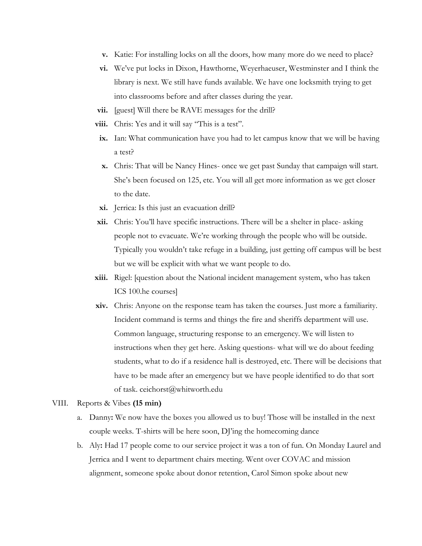- **v.** Katie: For installing locks on all the doors, how many more do we need to place?
- **vi.** We've put locks in Dixon, Hawthorne, Weyerhaeuser, Westminster and I think the library is next. We still have funds available. We have one locksmith trying to get into classrooms before and after classes during the year.
- **vii.** [guest] Will there be RAVE messages for the drill?
- **viii.** Chris: Yes and it will say "This is a test".
- **ix.** Ian: What communication have you had to let campus know that we will be having a test?
- **x.** Chris: That will be Nancy Hines- once we get past Sunday that campaign will start. She's been focused on 125, etc. You will all get more information as we get closer to the date.
- **xi.** Jerrica: Is this just an evacuation drill?
- **xii.** Chris: You'll have specific instructions. There will be a shelter in place- asking people not to evacuate. We're working through the people who will be outside. Typically you wouldn't take refuge in a building, just getting off campus will be best but we will be explicit with what we want people to do.
- **xiii.** Rigel: [question about the National incident management system, who has taken ICS 100.he courses]
- **xiv.** Chris: Anyone on the response team has taken the courses. Just more a familiarity. Incident command is terms and things the fire and sheriffs department will use. Common language, structuring response to an emergency. We will listen to instructions when they get here. Asking questions- what will we do about feeding students, what to do if a residence hall is destroyed, etc. There will be decisions that have to be made after an emergency but we have people identified to do that sort of task. ceichorst@whitworth.edu

## VIII. Reports & Vibes **(15 min)**

- a. Danny**:** We now have the boxes you allowed us to buy! Those will be installed in the next couple weeks. T-shirts will be here soon, DJ'ing the homecoming dance
- b. Aly**:** Had 17 people come to our service project it was a ton of fun. On Monday Laurel and Jerrica and I went to department chairs meeting. Went over COVAC and mission alignment, someone spoke about donor retention, Carol Simon spoke about new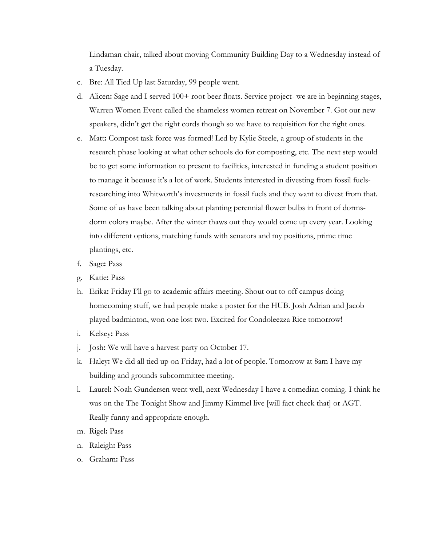Lindaman chair, talked about moving Community Building Day to a Wednesday instead of a Tuesday.

- c. Bre: All Tied Up last Saturday, 99 people went.
- d. Alicen**:** Sage and I served 100+ root beer floats. Service project- we are in beginning stages, Warren Women Event called the shameless women retreat on November 7. Got our new speakers, didn't get the right cords though so we have to requisition for the right ones.
- e. Matt**:** Compost task force was formed! Led by Kylie Steele, a group of students in the research phase looking at what other schools do for composting, etc. The next step would be to get some information to present to facilities, interested in funding a student position to manage it because it's a lot of work. Students interested in divesting from fossil fuelsresearching into Whitworth's investments in fossil fuels and they want to divest from that. Some of us have been talking about planting perennial flower bulbs in front of dormsdorm colors maybe. After the winter thaws out they would come up every year. Looking into different options, matching funds with senators and my positions, prime time plantings, etc.
- f. Sage**:** Pass
- g. Katie**:** Pass
- h. Erika**:** Friday I'll go to academic affairs meeting. Shout out to off campus doing homecoming stuff, we had people make a poster for the HUB. Josh Adrian and Jacob played badminton, won one lost two. Excited for Condoleezza Rice tomorrow!
- i. Kelsey**:** Pass
- j. Josh**:** We will have a harvest party on October 17.
- k. Haley**:** We did all tied up on Friday, had a lot of people. Tomorrow at 8am I have my building and grounds subcommittee meeting.
- l. Laurel**:** Noah Gundersen went well, next Wednesday I have a comedian coming. I think he was on the The Tonight Show and Jimmy Kimmel live [will fact check that] or AGT. Really funny and appropriate enough.
- m. Rigel**:** Pass
- n. Raleigh**:** Pass
- o. Graham**:** Pass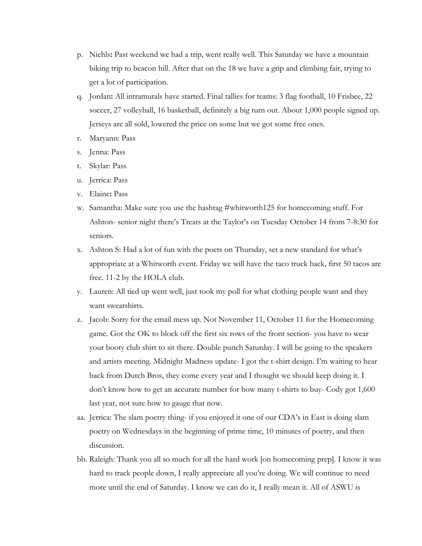- p. Niehls**:** Past weekend we had a trip, went really well. This Saturday we have a mountain biking trip to beacon hill. After that on the 18 we have a grip and climbing fair, trying to get a lot of participation.
- q. Jordan**:** All intramurals have started. Final tallies for teams: 3 flag football, 10 Frisbee, 22 soccer, 27 volleyball, 16 basketball, definitely a big turn out. About 1,000 people signed up. Jerseys are all sold, lowered the price on some but we got some free ones.
- r. Maryann: Pass
- s. Jenna: Pass
- t. Skylar: Pass
- u. Jerrica: Pass
- v. Elaine**:** Pass
- w. Samantha: Make sure you use the hashtag #whitworth125 for homecoming stuff. For Ashton- senior night there's Treats at the Taylor's on Tuesday October 14 from 7-8:30 for seniors.
- x. Ashton S: Had a lot of fun with the poets on Thursday, set a new standard for what's appropriate at a Whitworth event. Friday we will have the taco truck back, first 50 tacos are free. 11-2 by the HOLA club.
- y. Lauren: All tied up went well, just took my poll for what clothing people want and they want sweatshirts.
- z. Jacob: Sorry for the email mess up. Not November 11, October 11 for the Homecoming game. Got the OK to block off the first six rows of the front section- you have to wear your booty club shirt to sit there. Double punch Saturday. I will be going to the speakers and artists meeting. Midnight Madness update- I got the t-shirt design. I'm waiting to hear back from Dutch Bros, they come every year and I thought we should keep doing it. I don't know how to get an accurate number for how many t-shirts to buy- Cody got 1,600 last year, not sure how to gauge that now.
- aa. Jerrica: The slam poetry thing- if you enjoyed it one of our CDA's in East is doing slam poetry on Wednesdays in the beginning of prime time, 10 minutes of poetry, and then discussion.
- bb. Raleigh: Thank you all so much for all the hard work [on homecoming prep]. I know it was hard to track people down, I really appreciate all you're doing. We will continue to need more until the end of Saturday. I know we can do it, I really mean it. All of ASWU is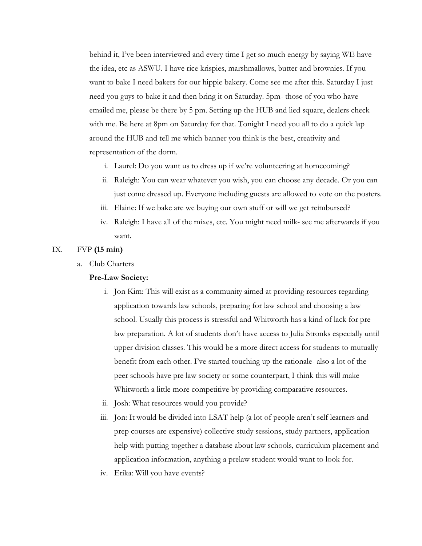behind it, I've been interviewed and every time I get so much energy by saying WE have the idea, etc as ASWU. I have rice krispies, marshmallows, butter and brownies. If you want to bake I need bakers for our hippie bakery. Come see me after this. Saturday I just need you guys to bake it and then bring it on Saturday. 5pm- those of you who have emailed me, please be there by 5 pm. Setting up the HUB and lied square, dealers check with me. Be here at 8pm on Saturday for that. Tonight I need you all to do a quick lap around the HUB and tell me which banner you think is the best, creativity and representation of the dorm.

- i. Laurel: Do you want us to dress up if we're volunteering at homecoming?
- ii. Raleigh: You can wear whatever you wish, you can choose any decade. Or you can just come dressed up. Everyone including guests are allowed to vote on the posters.
- iii. Elaine: If we bake are we buying our own stuff or will we get reimbursed?
- iv. Raleigh: I have all of the mixes, etc. You might need milk- see me afterwards if you want.

## IX. FVP **(15 min)**

a. Club Charters

## **Pre-Law Society:**

- i. Jon Kim: This will exist as a community aimed at providing resources regarding application towards law schools, preparing for law school and choosing a law school. Usually this process is stressful and Whitworth has a kind of lack for pre law preparation. A lot of students don't have access to Julia Stronks especially until upper division classes. This would be a more direct access for students to mutually benefit from each other. I've started touching up the rationale- also a lot of the peer schools have pre law society or some counterpart, I think this will make Whitworth a little more competitive by providing comparative resources.
- ii. Josh: What resources would you provide?
- iii. Jon: It would be divided into LSAT help (a lot of people aren't self learners and prep courses are expensive) collective study sessions, study partners, application help with putting together a database about law schools, curriculum placement and application information, anything a prelaw student would want to look for.
- iv. Erika: Will you have events?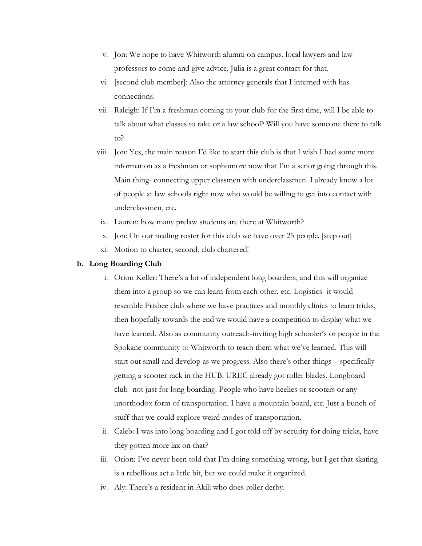- v. Jon: We hope to have Whitworth alumni on campus, local lawyers and law professors to come and give advice, Julia is a great contact for that.
- vi. [second club member]: Also the attorney generals that I interned with has connections.
- vii. Raleigh: If I'm a freshman coming to your club for the first time, will I be able to talk about what classes to take or a law school? Will you have someone there to talk to?
- viii. Jon: Yes, the main reason I'd like to start this club is that I wish I had some more information as a freshman or sophomore now that I'm a senor going through this. Main thing- connecting upper classmen with underclassmen. I already know a lot of people at law schools right now who would be willing to get into contact with underclassmen, etc.
- ix. Lauren: how many prelaw students are there at Whitworth?
- x. Jon: On our mailing roster for this club we have over 25 people. [step out]
- xi. Motion to charter, second, club chartered!

#### **b. Long Boarding Club**

- i. Orion Keller: There's a lot of independent long boarders, and this will organize them into a group so we can learn from each other, etc. Logistics- it would resemble Frisbee club where we have practices and monthly clinics to learn tricks, then hopefully towards the end we would have a competition to display what we have learned. Also as community outreach-inviting high schooler's or people in the Spokane community to Whitworth to teach them what we've learned. This will start out small and develop as we progress. Also there's other things – specifically getting a scooter rack in the HUB. UREC already got roller blades. Longboard club- not just for long boarding. People who have heelies or scooters or any unorthodox form of transportation. I have a mountain board, etc. Just a bunch of stuff that we could explore weird modes of transportation.
- ii. Caleb: I was into long boarding and I got told off by security for doing tricks, have they gotten more lax on that?
- iii. Orion: I've never been told that I'm doing something wrong, but I get that skating is a rebellious act a little bit, but we could make it organized.
- iv. Aly: There's a resident in Akili who does roller derby.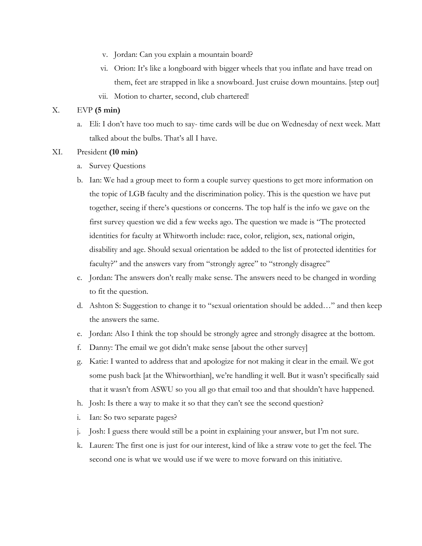- v. Jordan: Can you explain a mountain board?
- vi. Orion: It's like a longboard with bigger wheels that you inflate and have tread on them, feet are strapped in like a snowboard. Just cruise down mountains. [step out]
- vii. Motion to charter, second, club chartered!

# X. EVP **(5 min)**

- a. Eli: I don't have too much to say- time cards will be due on Wednesday of next week. Matt talked about the bulbs. That's all I have.
- XI. President **(10 min)**
	- a. Survey Questions
	- b. Ian: We had a group meet to form a couple survey questions to get more information on the topic of LGB faculty and the discrimination policy. This is the question we have put together, seeing if there's questions or concerns. The top half is the info we gave on the first survey question we did a few weeks ago. The question we made is "The protected identities for faculty at Whitworth include: race, color, religion, sex, national origin, disability and age. Should sexual orientation be added to the list of protected identities for faculty?" and the answers vary from "strongly agree" to "strongly disagree"
	- c. Jordan: The answers don't really make sense. The answers need to be changed in wording to fit the question.
	- d. Ashton S: Suggestion to change it to "sexual orientation should be added…" and then keep the answers the same.
	- e. Jordan: Also I think the top should be strongly agree and strongly disagree at the bottom.
	- f. Danny: The email we got didn't make sense [about the other survey]
	- g. Katie: I wanted to address that and apologize for not making it clear in the email. We got some push back [at the Whitworthian], we're handling it well. But it wasn't specifically said that it wasn't from ASWU so you all go that email too and that shouldn't have happened.
	- h. Josh: Is there a way to make it so that they can't see the second question?
	- i. Ian: So two separate pages?
	- j. Josh: I guess there would still be a point in explaining your answer, but I'm not sure.
	- k. Lauren: The first one is just for our interest, kind of like a straw vote to get the feel. The second one is what we would use if we were to move forward on this initiative.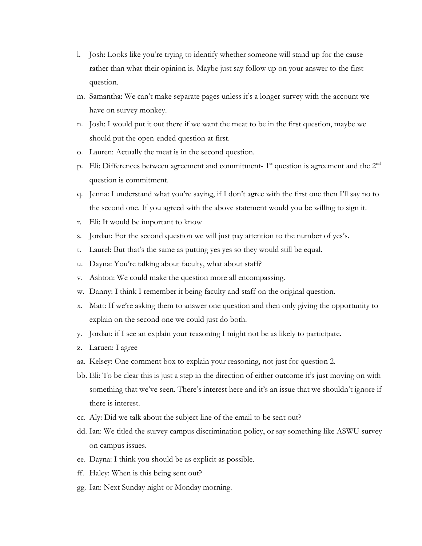- l. Josh: Looks like you're trying to identify whether someone will stand up for the cause rather than what their opinion is. Maybe just say follow up on your answer to the first question.
- m. Samantha: We can't make separate pages unless it's a longer survey with the account we have on survey monkey.
- n. Josh: I would put it out there if we want the meat to be in the first question, maybe we should put the open-ended question at first.
- o. Lauren: Actually the meat is in the second question.
- p. Eli: Differences between agreement and commitment-  $1<sup>st</sup>$  question is agreement and the  $2<sup>nd</sup>$ question is commitment.
- q. Jenna: I understand what you're saying, if I don't agree with the first one then I'll say no to the second one. If you agreed with the above statement would you be willing to sign it.
- r. Eli: It would be important to know
- s. Jordan: For the second question we will just pay attention to the number of yes's.
- t. Laurel: But that's the same as putting yes yes so they would still be equal.
- u. Dayna: You're talking about faculty, what about staff?
- v. Ashton: We could make the question more all encompassing.
- w. Danny: I think I remember it being faculty and staff on the original question.
- x. Matt: If we're asking them to answer one question and then only giving the opportunity to explain on the second one we could just do both.
- y. Jordan: if I see an explain your reasoning I might not be as likely to participate.
- z. Laruen: I agree
- aa. Kelsey: One comment box to explain your reasoning, not just for question 2.
- bb. Eli: To be clear this is just a step in the direction of either outcome it's just moving on with something that we've seen. There's interest here and it's an issue that we shouldn't ignore if there is interest.
- cc. Aly: Did we talk about the subject line of the email to be sent out?
- dd. Ian: We titled the survey campus discrimination policy, or say something like ASWU survey on campus issues.
- ee. Dayna: I think you should be as explicit as possible.
- ff. Haley: When is this being sent out?
- gg. Ian: Next Sunday night or Monday morning.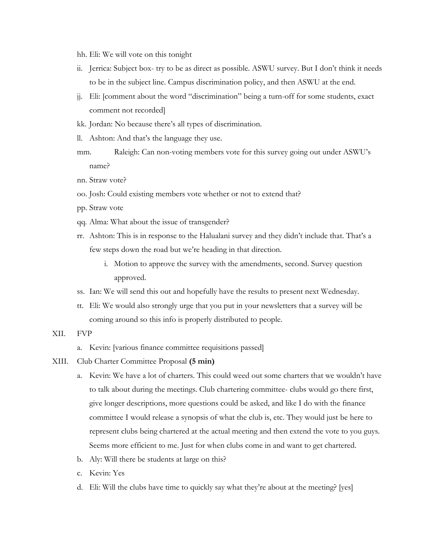hh. Eli: We will vote on this tonight

- ii. Jerrica: Subject box- try to be as direct as possible. ASWU survey. But I don't think it needs to be in the subject line. Campus discrimination policy, and then ASWU at the end.
- jj. Eli: [comment about the word "discrimination" being a turn-off for some students, exact comment not recorded]
- kk. Jordan: No because there's all types of discrimination.
- ll. Ashton: And that's the language they use.
- mm. Raleigh: Can non-voting members vote for this survey going out under ASWU's name?
- nn. Straw vote?
- oo. Josh: Could existing members vote whether or not to extend that?
- pp. Straw vote
- qq. Alma: What about the issue of transgender?
- rr. Ashton: This is in response to the Halualani survey and they didn't include that. That's a few steps down the road but we're heading in that direction.
	- i. Motion to approve the survey with the amendments, second. Survey question approved.
- ss. Ian: We will send this out and hopefully have the results to present next Wednesday.
- tt. Eli: We would also strongly urge that you put in your newsletters that a survey will be coming around so this info is properly distributed to people.
- XII. FVP
	- a. Kevin: [various finance committee requisitions passed]
- XIII. Club Charter Committee Proposal **(5 min)**
	- a. Kevin: We have a lot of charters. This could weed out some charters that we wouldn't have to talk about during the meetings. Club chartering committee- clubs would go there first, give longer descriptions, more questions could be asked, and like I do with the finance committee I would release a synopsis of what the club is, etc. They would just be here to represent clubs being chartered at the actual meeting and then extend the vote to you guys. Seems more efficient to me. Just for when clubs come in and want to get chartered.
	- b. Aly: Will there be students at large on this?
	- c. Kevin: Yes
	- d. Eli: Will the clubs have time to quickly say what they're about at the meeting? [yes]